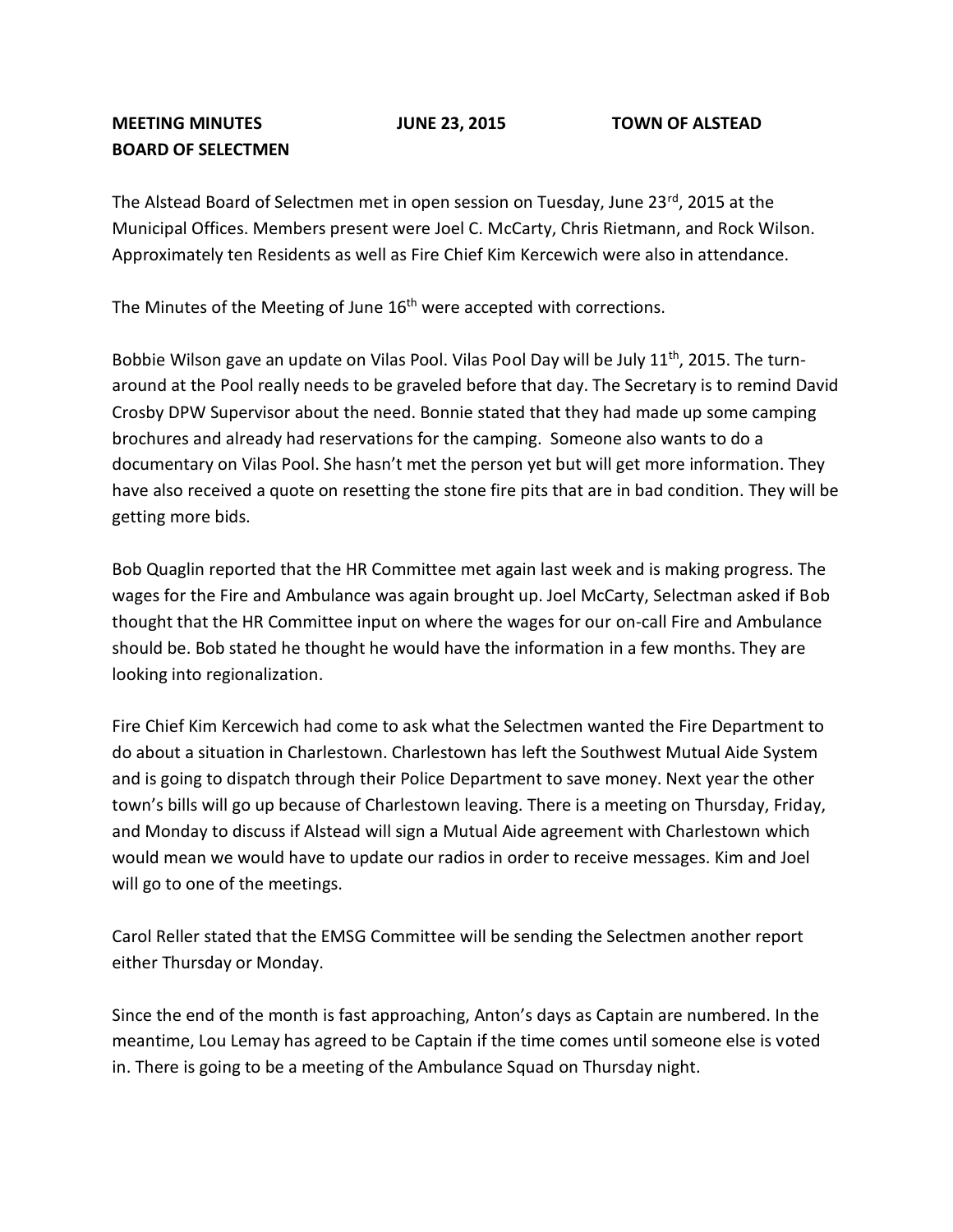## **MEETING MINUTES JUNE 23, 2015 TOWN OF ALSTEAD BOARD OF SELECTMEN**

The Alstead Board of Selectmen met in open session on Tuesday, June  $23^{rd}$ , 2015 at the Municipal Offices. Members present were Joel C. McCarty, Chris Rietmann, and Rock Wilson. Approximately ten Residents as well as Fire Chief Kim Kercewich were also in attendance.

The Minutes of the Meeting of June 16<sup>th</sup> were accepted with corrections.

Bobbie Wilson gave an update on Vilas Pool. Vilas Pool Day will be July 11<sup>th</sup>, 2015. The turnaround at the Pool really needs to be graveled before that day. The Secretary is to remind David Crosby DPW Supervisor about the need. Bonnie stated that they had made up some camping brochures and already had reservations for the camping. Someone also wants to do a documentary on Vilas Pool. She hasn't met the person yet but will get more information. They have also received a quote on resetting the stone fire pits that are in bad condition. They will be getting more bids.

Bob Quaglin reported that the HR Committee met again last week and is making progress. The wages for the Fire and Ambulance was again brought up. Joel McCarty, Selectman asked if Bob thought that the HR Committee input on where the wages for our on-call Fire and Ambulance should be. Bob stated he thought he would have the information in a few months. They are looking into regionalization.

Fire Chief Kim Kercewich had come to ask what the Selectmen wanted the Fire Department to do about a situation in Charlestown. Charlestown has left the Southwest Mutual Aide System and is going to dispatch through their Police Department to save money. Next year the other town's bills will go up because of Charlestown leaving. There is a meeting on Thursday, Friday, and Monday to discuss if Alstead will sign a Mutual Aide agreement with Charlestown which would mean we would have to update our radios in order to receive messages. Kim and Joel will go to one of the meetings.

Carol Reller stated that the EMSG Committee will be sending the Selectmen another report either Thursday or Monday.

Since the end of the month is fast approaching, Anton's days as Captain are numbered. In the meantime, Lou Lemay has agreed to be Captain if the time comes until someone else is voted in. There is going to be a meeting of the Ambulance Squad on Thursday night.